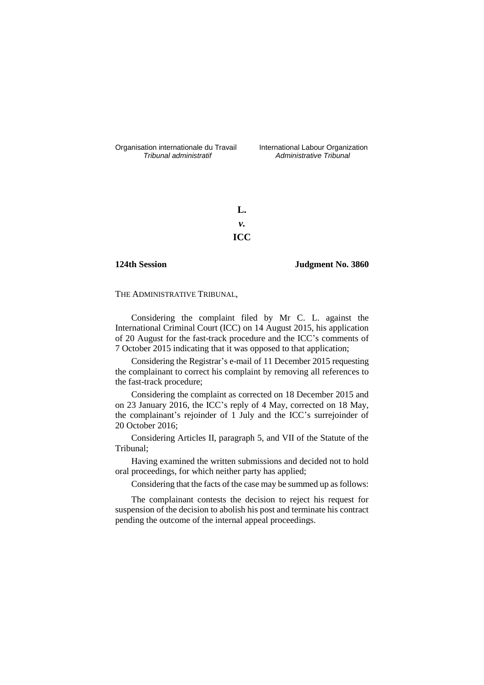Organisation internationale du Travail liternational Labour Organization<br> *Tribunal administratif Administrative Tribunal* 

*Tribunal administratif Administrative Tribunal*

**L.** *v.* **ICC**

## **124th Session Judgment No. 3860**

THE ADMINISTRATIVE TRIBUNAL,

Considering the complaint filed by Mr C. L. against the International Criminal Court (ICC) on 14 August 2015, his application of 20 August for the fast-track procedure and the ICC's comments of 7 October 2015 indicating that it was opposed to that application;

Considering the Registrar's e-mail of 11 December 2015 requesting the complainant to correct his complaint by removing all references to the fast-track procedure;

Considering the complaint as corrected on 18 December 2015 and on 23 January 2016, the ICC's reply of 4 May, corrected on 18 May, the complainant's rejoinder of 1 July and the ICC's surrejoinder of 20 October 2016;

Considering Articles II, paragraph 5, and VII of the Statute of the Tribunal;

Having examined the written submissions and decided not to hold oral proceedings, for which neither party has applied;

Considering that the facts of the case may be summed up as follows:

The complainant contests the decision to reject his request for suspension of the decision to abolish his post and terminate his contract pending the outcome of the internal appeal proceedings.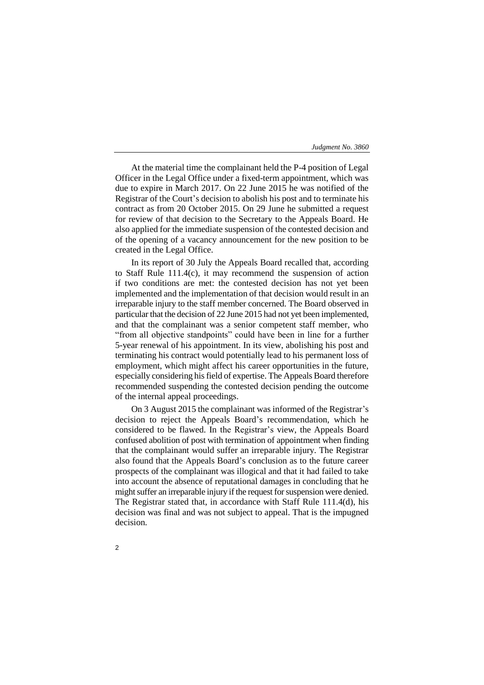At the material time the complainant held the P-4 position of Legal Officer in the Legal Office under a fixed-term appointment, which was due to expire in March 2017. On 22 June 2015 he was notified of the Registrar of the Court's decision to abolish his post and to terminate his contract as from 20 October 2015. On 29 June he submitted a request for review of that decision to the Secretary to the Appeals Board. He also applied for the immediate suspension of the contested decision and of the opening of a vacancy announcement for the new position to be created in the Legal Office.

In its report of 30 July the Appeals Board recalled that, according to Staff Rule 111.4(c), it may recommend the suspension of action if two conditions are met: the contested decision has not yet been implemented and the implementation of that decision would result in an irreparable injury to the staff member concerned. The Board observed in particular that the decision of 22 June 2015 had not yet been implemented, and that the complainant was a senior competent staff member, who "from all objective standpoints" could have been in line for a further 5-year renewal of his appointment. In its view, abolishing his post and terminating his contract would potentially lead to his permanent loss of employment, which might affect his career opportunities in the future, especially considering his field of expertise. The Appeals Board therefore recommended suspending the contested decision pending the outcome of the internal appeal proceedings.

On 3 August 2015 the complainant was informed of the Registrar's decision to reject the Appeals Board's recommendation, which he considered to be flawed. In the Registrar's view, the Appeals Board confused abolition of post with termination of appointment when finding that the complainant would suffer an irreparable injury. The Registrar also found that the Appeals Board's conclusion as to the future career prospects of the complainant was illogical and that it had failed to take into account the absence of reputational damages in concluding that he might suffer an irreparable injury if the request for suspension were denied. The Registrar stated that, in accordance with Staff Rule 111.4(d), his decision was final and was not subject to appeal. That is the impugned decision.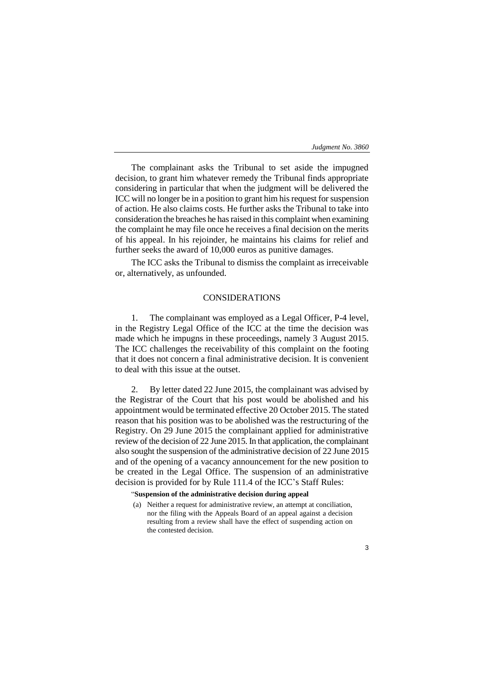The complainant asks the Tribunal to set aside the impugned decision, to grant him whatever remedy the Tribunal finds appropriate considering in particular that when the judgment will be delivered the ICC will no longer be in a position to grant him his request for suspension of action. He also claims costs. He further asks the Tribunal to take into consideration the breaches he has raised in this complaint when examining the complaint he may file once he receives a final decision on the merits of his appeal. In his rejoinder, he maintains his claims for relief and further seeks the award of 10,000 euros as punitive damages.

The ICC asks the Tribunal to dismiss the complaint as irreceivable or, alternatively, as unfounded.

# CONSIDERATIONS

1. The complainant was employed as a Legal Officer, P-4 level, in the Registry Legal Office of the ICC at the time the decision was made which he impugns in these proceedings, namely 3 August 2015. The ICC challenges the receivability of this complaint on the footing that it does not concern a final administrative decision. It is convenient to deal with this issue at the outset.

2. By letter dated 22 June 2015, the complainant was advised by the Registrar of the Court that his post would be abolished and his appointment would be terminated effective 20 October 2015. The stated reason that his position was to be abolished was the restructuring of the Registry. On 29 June 2015 the complainant applied for administrative review of the decision of 22 June 2015. In that application, the complainant also sought the suspension of the administrative decision of 22 June 2015 and of the opening of a vacancy announcement for the new position to be created in the Legal Office. The suspension of an administrative decision is provided for by Rule 111.4 of the ICC's Staff Rules:

## "**Suspension of the administrative decision during appeal**

(a) Neither a request for administrative review, an attempt at conciliation, nor the filing with the Appeals Board of an appeal against a decision resulting from a review shall have the effect of suspending action on the contested decision.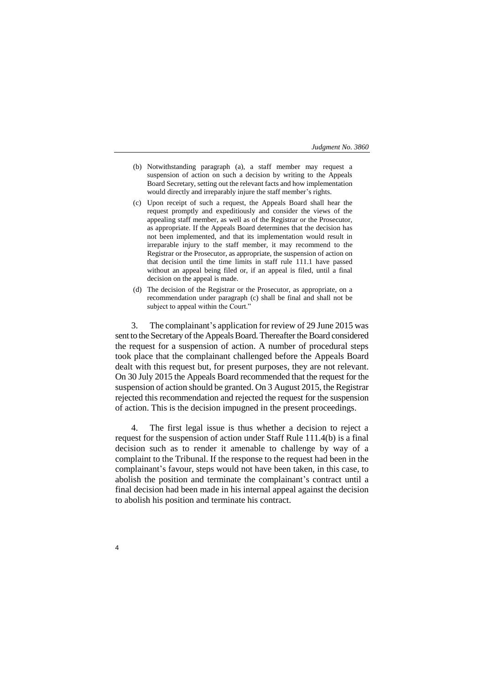- (b) Notwithstanding paragraph (a), a staff member may request a suspension of action on such a decision by writing to the Appeals Board Secretary, setting out the relevant facts and how implementation would directly and irreparably injure the staff member's rights.
- (c) Upon receipt of such a request, the Appeals Board shall hear the request promptly and expeditiously and consider the views of the appealing staff member, as well as of the Registrar or the Prosecutor, as appropriate. If the Appeals Board determines that the decision has not been implemented, and that its implementation would result in irreparable injury to the staff member, it may recommend to the Registrar or the Prosecutor, as appropriate, the suspension of action on that decision until the time limits in staff rule 111.1 have passed without an appeal being filed or, if an appeal is filed, until a final decision on the appeal is made.
- (d) The decision of the Registrar or the Prosecutor, as appropriate, on a recommendation under paragraph (c) shall be final and shall not be subject to appeal within the Court."

3. The complainant's application for review of 29 June 2015 was sent to the Secretary of the Appeals Board. Thereafter the Board considered the request for a suspension of action. A number of procedural steps took place that the complainant challenged before the Appeals Board dealt with this request but, for present purposes, they are not relevant. On 30 July 2015 the Appeals Board recommended that the request for the suspension of action should be granted. On 3 August 2015, the Registrar rejected this recommendation and rejected the request for the suspension of action. This is the decision impugned in the present proceedings.

4. The first legal issue is thus whether a decision to reject a request for the suspension of action under Staff Rule 111.4(b) is a final decision such as to render it amenable to challenge by way of a complaint to the Tribunal. If the response to the request had been in the complainant's favour, steps would not have been taken, in this case, to abolish the position and terminate the complainant's contract until a final decision had been made in his internal appeal against the decision to abolish his position and terminate his contract.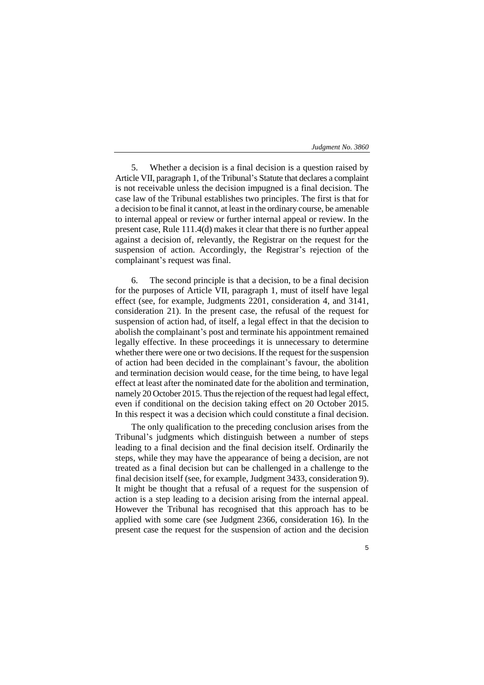5

5. Whether a decision is a final decision is a question raised by Article VII, paragraph 1, of the Tribunal's Statute that declares a complaint is not receivable unless the decision impugned is a final decision. The case law of the Tribunal establishes two principles. The first is that for a decision to be final it cannot, at least in the ordinary course, be amenable to internal appeal or review or further internal appeal or review. In the present case, Rule 111.4(d) makes it clear that there is no further appeal against a decision of, relevantly, the Registrar on the request for the suspension of action. Accordingly, the Registrar's rejection of the complainant's request was final.

6. The second principle is that a decision, to be a final decision for the purposes of Article VII, paragraph 1, must of itself have legal effect (see, for example, Judgments 2201, consideration 4, and 3141, consideration 21). In the present case, the refusal of the request for suspension of action had, of itself, a legal effect in that the decision to abolish the complainant's post and terminate his appointment remained legally effective. In these proceedings it is unnecessary to determine whether there were one or two decisions. If the request for the suspension of action had been decided in the complainant's favour, the abolition and termination decision would cease, for the time being, to have legal effect at least after the nominated date for the abolition and termination, namely 20 October 2015. Thus the rejection of the request had legal effect, even if conditional on the decision taking effect on 20 October 2015. In this respect it was a decision which could constitute a final decision.

The only qualification to the preceding conclusion arises from the Tribunal's judgments which distinguish between a number of steps leading to a final decision and the final decision itself. Ordinarily the steps, while they may have the appearance of being a decision, are not treated as a final decision but can be challenged in a challenge to the final decision itself (see, for example, Judgment 3433, consideration 9). It might be thought that a refusal of a request for the suspension of action is a step leading to a decision arising from the internal appeal. However the Tribunal has recognised that this approach has to be applied with some care (see Judgment 2366, consideration 16). In the present case the request for the suspension of action and the decision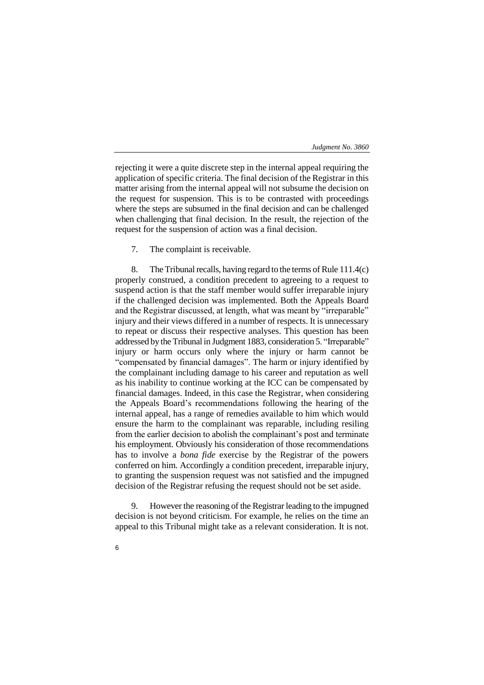rejecting it were a quite discrete step in the internal appeal requiring the application of specific criteria. The final decision of the Registrar in this matter arising from the internal appeal will not subsume the decision on the request for suspension. This is to be contrasted with proceedings where the steps are subsumed in the final decision and can be challenged when challenging that final decision. In the result, the rejection of the request for the suspension of action was a final decision.

7. The complaint is receivable.

8. The Tribunal recalls, having regard to the terms of Rule 111.4(c) properly construed, a condition precedent to agreeing to a request to suspend action is that the staff member would suffer irreparable injury if the challenged decision was implemented. Both the Appeals Board and the Registrar discussed, at length, what was meant by "irreparable" injury and their views differed in a number of respects. It is unnecessary to repeat or discuss their respective analyses. This question has been addressed by the Tribunal in Judgment 1883, consideration 5. "Irreparable" injury or harm occurs only where the injury or harm cannot be "compensated by financial damages". The harm or injury identified by the complainant including damage to his career and reputation as well as his inability to continue working at the ICC can be compensated by financial damages. Indeed, in this case the Registrar, when considering the Appeals Board's recommendations following the hearing of the internal appeal, has a range of remedies available to him which would ensure the harm to the complainant was reparable, including resiling from the earlier decision to abolish the complainant's post and terminate his employment. Obviously his consideration of those recommendations has to involve a *bona fide* exercise by the Registrar of the powers conferred on him. Accordingly a condition precedent, irreparable injury, to granting the suspension request was not satisfied and the impugned decision of the Registrar refusing the request should not be set aside.

9. However the reasoning of the Registrar leading to the impugned decision is not beyond criticism. For example, he relies on the time an appeal to this Tribunal might take as a relevant consideration. It is not.